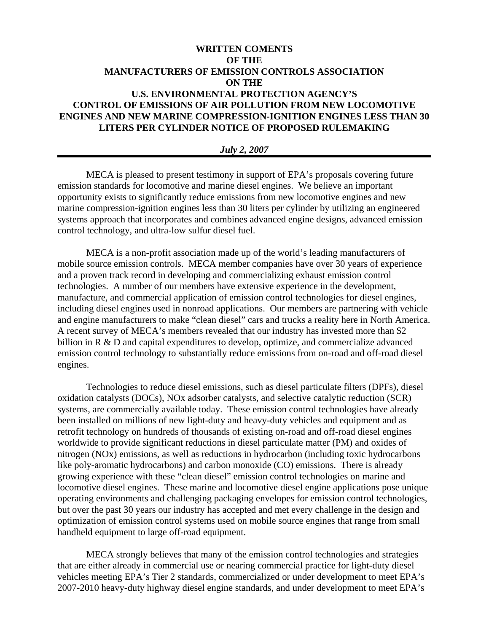# **WRITTEN COMENTS OF THE MANUFACTURERS OF EMISSION CONTROLS ASSOCIATION ON THE U.S. ENVIRONMENTAL PROTECTION AGENCY'S CONTROL OF EMISSIONS OF AIR POLLUTION FROM NEW LOCOMOTIVE ENGINES AND NEW MARINE COMPRESSION-IGNITION ENGINES LESS THAN 30 LITERS PER CYLINDER NOTICE OF PROPOSED RULEMAKING**

#### *July 2, 2007*

MECA is pleased to present testimony in support of EPA's proposals covering future emission standards for locomotive and marine diesel engines. We believe an important opportunity exists to significantly reduce emissions from new locomotive engines and new marine compression-ignition engines less than 30 liters per cylinder by utilizing an engineered systems approach that incorporates and combines advanced engine designs, advanced emission control technology, and ultra-low sulfur diesel fuel.

MECA is a non-profit association made up of the world's leading manufacturers of mobile source emission controls. MECA member companies have over 30 years of experience and a proven track record in developing and commercializing exhaust emission control technologies. A number of our members have extensive experience in the development, manufacture, and commercial application of emission control technologies for diesel engines, including diesel engines used in nonroad applications. Our members are partnering with vehicle and engine manufacturers to make "clean diesel" cars and trucks a reality here in North America. A recent survey of MECA's members revealed that our industry has invested more than \$2 billion in R & D and capital expenditures to develop, optimize, and commercialize advanced emission control technology to substantially reduce emissions from on-road and off-road diesel engines.

Technologies to reduce diesel emissions, such as diesel particulate filters (DPFs), diesel oxidation catalysts (DOCs), NOx adsorber catalysts, and selective catalytic reduction (SCR) systems, are commercially available today. These emission control technologies have already been installed on millions of new light-duty and heavy-duty vehicles and equipment and as retrofit technology on hundreds of thousands of existing on-road and off-road diesel engines worldwide to provide significant reductions in diesel particulate matter (PM) and oxides of nitrogen (NOx) emissions, as well as reductions in hydrocarbon (including toxic hydrocarbons like poly-aromatic hydrocarbons) and carbon monoxide (CO) emissions. There is already growing experience with these "clean diesel" emission control technologies on marine and locomotive diesel engines. These marine and locomotive diesel engine applications pose unique operating environments and challenging packaging envelopes for emission control technologies, but over the past 30 years our industry has accepted and met every challenge in the design and optimization of emission control systems used on mobile source engines that range from small handheld equipment to large off-road equipment.

MECA strongly believes that many of the emission control technologies and strategies that are either already in commercial use or nearing commercial practice for light-duty diesel vehicles meeting EPA's Tier 2 standards, commercialized or under development to meet EPA's 2007-2010 heavy-duty highway diesel engine standards, and under development to meet EPA's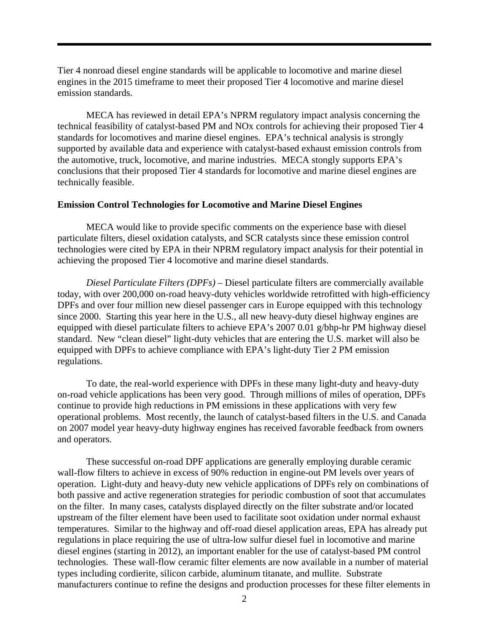Tier 4 nonroad diesel engine standards will be applicable to locomotive and marine diesel engines in the 2015 timeframe to meet their proposed Tier 4 locomotive and marine diesel emission standards.

 MECA has reviewed in detail EPA's NPRM regulatory impact analysis concerning the technical feasibility of catalyst-based PM and NOx controls for achieving their proposed Tier 4 standards for locomotives and marine diesel engines. EPA's technical analysis is strongly supported by available data and experience with catalyst-based exhaust emission controls from the automotive, truck, locomotive, and marine industries. MECA stongly supports EPA's conclusions that their proposed Tier 4 standards for locomotive and marine diesel engines are technically feasible.

## **Emission Control Technologies for Locomotive and Marine Diesel Engines**

MECA would like to provide specific comments on the experience base with diesel particulate filters, diesel oxidation catalysts, and SCR catalysts since these emission control technologies were cited by EPA in their NPRM regulatory impact analysis for their potential in achieving the proposed Tier 4 locomotive and marine diesel standards.

*Diesel Particulate Filters (DPFs) –* Diesel particulate filters are commercially available today, with over 200,000 on-road heavy-duty vehicles worldwide retrofitted with high-efficiency DPFs and over four million new diesel passenger cars in Europe equipped with this technology since 2000. Starting this year here in the U.S., all new heavy-duty diesel highway engines are equipped with diesel particulate filters to achieve EPA's 2007 0.01 g/bhp-hr PM highway diesel standard. New "clean diesel" light-duty vehicles that are entering the U.S. market will also be equipped with DPFs to achieve compliance with EPA's light-duty Tier 2 PM emission regulations.

To date, the real-world experience with DPFs in these many light-duty and heavy-duty on-road vehicle applications has been very good. Through millions of miles of operation, DPFs continue to provide high reductions in PM emissions in these applications with very few operational problems. Most recently, the launch of catalyst-based filters in the U.S. and Canada on 2007 model year heavy-duty highway engines has received favorable feedback from owners and operators.

These successful on-road DPF applications are generally employing durable ceramic wall-flow filters to achieve in excess of 90% reduction in engine-out PM levels over years of operation. Light-duty and heavy-duty new vehicle applications of DPFs rely on combinations of both passive and active regeneration strategies for periodic combustion of soot that accumulates on the filter. In many cases, catalysts displayed directly on the filter substrate and/or located upstream of the filter element have been used to facilitate soot oxidation under normal exhaust temperatures. Similar to the highway and off-road diesel application areas, EPA has already put regulations in place requiring the use of ultra-low sulfur diesel fuel in locomotive and marine diesel engines (starting in 2012), an important enabler for the use of catalyst-based PM control technologies. These wall-flow ceramic filter elements are now available in a number of material types including cordierite, silicon carbide, aluminum titanate, and mullite. Substrate manufacturers continue to refine the designs and production processes for these filter elements in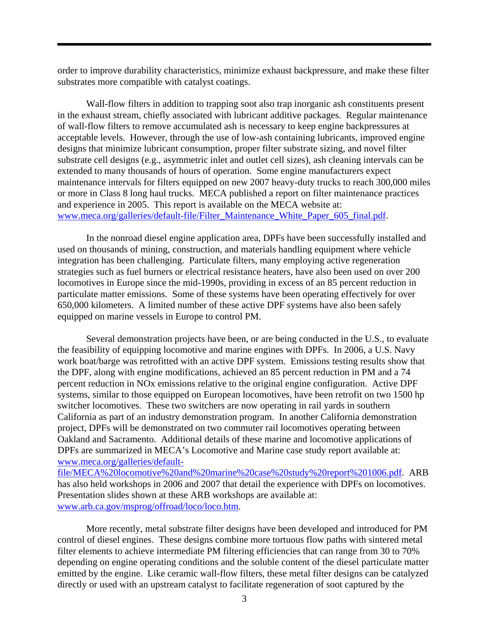order to improve durability characteristics, minimize exhaust backpressure, and make these filter substrates more compatible with catalyst coatings.

Wall-flow filters in addition to trapping soot also trap inorganic ash constituents present in the exhaust stream, chiefly associated with lubricant additive packages. Regular maintenance of wall-flow filters to remove accumulated ash is necessary to keep engine backpressures at acceptable levels. However, through the use of low-ash containing lubricants, improved engine designs that minimize lubricant consumption, proper filter substrate sizing, and novel filter substrate cell designs (e.g., asymmetric inlet and outlet cell sizes), ash cleaning intervals can be extended to many thousands of hours of operation. Some engine manufacturers expect maintenance intervals for filters equipped on new 2007 heavy-duty trucks to reach 300,000 miles or more in Class 8 long haul trucks. MECA published a report on filter maintenance practices and experience in 2005. This report is available on the MECA website at: [www.meca.org/galleries/default-file/Filter\\_Maintenance\\_White\\_Paper\\_605\\_final.pdf](http://www.meca.org/galleries/default-file/Filter_Maintenance_White_Paper_605_final.pdf).

In the nonroad diesel engine application area, DPFs have been successfully installed and used on thousands of mining, construction, and materials handling equipment where vehicle integration has been challenging. Particulate filters, many employing active regeneration strategies such as fuel burners or electrical resistance heaters, have also been used on over 200 locomotives in Europe since the mid-1990s, providing in excess of an 85 percent reduction in particulate matter emissions. Some of these systems have been operating effectively for over 650,000 kilometers. A limited number of these active DPF systems have also been safely equipped on marine vessels in Europe to control PM.

Several demonstration projects have been, or are being conducted in the U.S., to evaluate the feasibility of equipping locomotive and marine engines with DPFs. In 2006, a U.S. Navy work boat/barge was retrofitted with an active DPF system. Emissions testing results show that the DPF, along with engine modifications, achieved an 85 percent reduction in PM and a 74 percent reduction in NOx emissions relative to the original engine configuration. Active DPF systems, similar to those equipped on European locomotives, have been retrofit on two 1500 hp switcher locomotives. These two switchers are now operating in rail yards in southern California as part of an industry demonstration program. In another California demonstration project, DPFs will be demonstrated on two commuter rail locomotives operating between Oakland and Sacramento. Additional details of these marine and locomotive applications of DPFs are summarized in MECA's Locomotive and Marine case study report available at: [www.meca.org/galleries/default-](http://www.meca.org/galleries/default-file/MECA%20locomotive%20and%20marine%20case%20study%20report%201006.pdf)

[file/MECA%20locomotive%20and%20marine%20case%20study%20report%201006.pdf](http://www.meca.org/galleries/default-file/MECA%20locomotive%20and%20marine%20case%20study%20report%201006.pdf). ARB has also held workshops in 2006 and 2007 that detail the experience with DPFs on locomotives. Presentation slides shown at these ARB workshops are available at: [www.arb.ca.gov/msprog/offroad/loco/loco.htm.](http://www.arb.ca.gov/msprog/offroad/loco/loco.htm)

More recently, metal substrate filter designs have been developed and introduced for PM control of diesel engines. These designs combine more tortuous flow paths with sintered metal filter elements to achieve intermediate PM filtering efficiencies that can range from 30 to 70% depending on engine operating conditions and the soluble content of the diesel particulate matter emitted by the engine. Like ceramic wall-flow filters, these metal filter designs can be catalyzed directly or used with an upstream catalyst to facilitate regeneration of soot captured by the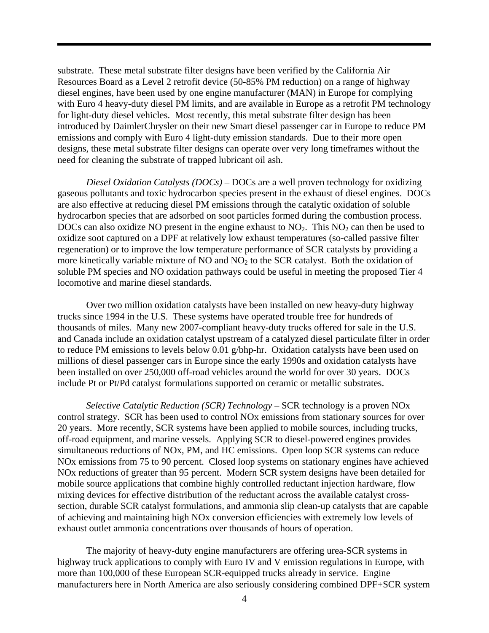substrate. These metal substrate filter designs have been verified by the California Air Resources Board as a Level 2 retrofit device (50-85% PM reduction) on a range of highway diesel engines, have been used by one engine manufacturer (MAN) in Europe for complying with Euro 4 heavy-duty diesel PM limits, and are available in Europe as a retrofit PM technology for light-duty diesel vehicles. Most recently, this metal substrate filter design has been introduced by DaimlerChrysler on their new Smart diesel passenger car in Europe to reduce PM emissions and comply with Euro 4 light-duty emission standards. Due to their more open designs, these metal substrate filter designs can operate over very long timeframes without the need for cleaning the substrate of trapped lubricant oil ash.

*Diesel Oxidation Catalysts (DOCs) –* DOCs are a well proven technology for oxidizing gaseous pollutants and toxic hydrocarbon species present in the exhaust of diesel engines. DOCs are also effective at reducing diesel PM emissions through the catalytic oxidation of soluble hydrocarbon species that are adsorbed on soot particles formed during the combustion process. DOCs can also oxidize NO present in the engine exhaust to  $NO<sub>2</sub>$ . This  $NO<sub>2</sub>$  can then be used to oxidize soot captured on a DPF at relatively low exhaust temperatures (so-called passive filter regeneration) or to improve the low temperature performance of SCR catalysts by providing a more kinetically variable mixture of  $NO$  and  $NO<sub>2</sub>$  to the SCR catalyst. Both the oxidation of soluble PM species and NO oxidation pathways could be useful in meeting the proposed Tier 4 locomotive and marine diesel standards.

Over two million oxidation catalysts have been installed on new heavy-duty highway trucks since 1994 in the U.S. These systems have operated trouble free for hundreds of thousands of miles. Many new 2007-compliant heavy-duty trucks offered for sale in the U.S. and Canada include an oxidation catalyst upstream of a catalyzed diesel particulate filter in order to reduce PM emissions to levels below 0.01 g/bhp-hr. Oxidation catalysts have been used on millions of diesel passenger cars in Europe since the early 1990s and oxidation catalysts have been installed on over 250,000 off-road vehicles around the world for over 30 years. DOCs include Pt or Pt/Pd catalyst formulations supported on ceramic or metallic substrates.

*Selective Catalytic Reduction (SCR) Technology –* SCR technology is a proven NOx control strategy. SCR has been used to control NOx emissions from stationary sources for over 20 years. More recently, SCR systems have been applied to mobile sources, including trucks, off-road equipment, and marine vessels. Applying SCR to diesel-powered engines provides simultaneous reductions of NOx, PM, and HC emissions. Open loop SCR systems can reduce NOx emissions from 75 to 90 percent. Closed loop systems on stationary engines have achieved NOx reductions of greater than 95 percent. Modern SCR system designs have been detailed for mobile source applications that combine highly controlled reductant injection hardware, flow mixing devices for effective distribution of the reductant across the available catalyst crosssection, durable SCR catalyst formulations, and ammonia slip clean-up catalysts that are capable of achieving and maintaining high NOx conversion efficiencies with extremely low levels of exhaust outlet ammonia concentrations over thousands of hours of operation.

The majority of heavy-duty engine manufacturers are offering urea-SCR systems in highway truck applications to comply with Euro IV and V emission regulations in Europe, with more than 100,000 of these European SCR-equipped trucks already in service. Engine manufacturers here in North America are also seriously considering combined DPF+SCR system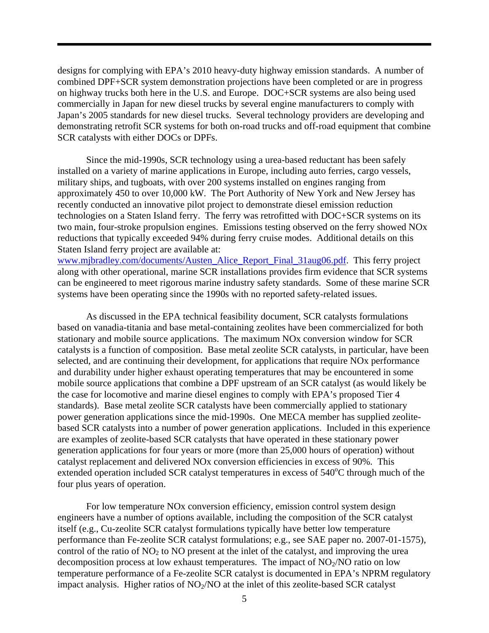designs for complying with EPA's 2010 heavy-duty highway emission standards. A number of combined DPF+SCR system demonstration projections have been completed or are in progress on highway trucks both here in the U.S. and Europe. DOC+SCR systems are also being used commercially in Japan for new diesel trucks by several engine manufacturers to comply with Japan's 2005 standards for new diesel trucks. Several technology providers are developing and demonstrating retrofit SCR systems for both on-road trucks and off-road equipment that combine SCR catalysts with either DOCs or DPFs.

Since the mid-1990s, SCR technology using a urea-based reductant has been safely installed on a variety of marine applications in Europe, including auto ferries, cargo vessels, military ships, and tugboats, with over 200 systems installed on engines ranging from approximately 450 to over 10,000 kW. The Port Authority of New York and New Jersey has recently conducted an innovative pilot project to demonstrate diesel emission reduction technologies on a Staten Island ferry. The ferry was retrofitted with DOC+SCR systems on its two main, four-stroke propulsion engines. Emissions testing observed on the ferry showed NOx reductions that typically exceeded 94% during ferry cruise modes. Additional details on this Staten Island ferry project are available at:

[www.mjbradley.com/documents/Austen\\_Alice\\_Report\\_Final\\_31aug06.pdf.](http://www.mjbradley.com/documents/Austen_Alice_Report_Final_31aug06.pdf) This ferry project along with other operational, marine SCR installations provides firm evidence that SCR systems can be engineered to meet rigorous marine industry safety standards. Some of these marine SCR systems have been operating since the 1990s with no reported safety-related issues.

As discussed in the EPA technical feasibility document, SCR catalysts formulations based on vanadia-titania and base metal-containing zeolites have been commercialized for both stationary and mobile source applications. The maximum NOx conversion window for SCR catalysts is a function of composition. Base metal zeolite SCR catalysts, in particular, have been selected, and are continuing their development, for applications that require NOx performance and durability under higher exhaust operating temperatures that may be encountered in some mobile source applications that combine a DPF upstream of an SCR catalyst (as would likely be the case for locomotive and marine diesel engines to comply with EPA's proposed Tier 4 standards). Base metal zeolite SCR catalysts have been commercially applied to stationary power generation applications since the mid-1990s. One MECA member has supplied zeolitebased SCR catalysts into a number of power generation applications. Included in this experience are examples of zeolite-based SCR catalysts that have operated in these stationary power generation applications for four years or more (more than 25,000 hours of operation) without catalyst replacement and delivered NOx conversion efficiencies in excess of 90%. This extended operation included SCR catalyst temperatures in excess of  $540^{\circ}$ C through much of the four plus years of operation.

For low temperature NOx conversion efficiency, emission control system design engineers have a number of options available, including the composition of the SCR catalyst itself (e.g., Cu-zeolite SCR catalyst formulations typically have better low temperature performance than Fe-zeolite SCR catalyst formulations; e.g., see SAE paper no. 2007-01-1575), control of the ratio of  $NO<sub>2</sub>$  to  $NO<sub>2</sub>$  present at the inlet of the catalyst, and improving the urea decomposition process at low exhaust temperatures. The impact of  $NO<sub>2</sub>/NO$  ratio on low temperature performance of a Fe-zeolite SCR catalyst is documented in EPA's NPRM regulatory impact analysis. Higher ratios of  $NO<sub>2</sub>/NO$  at the inlet of this zeolite-based SCR catalyst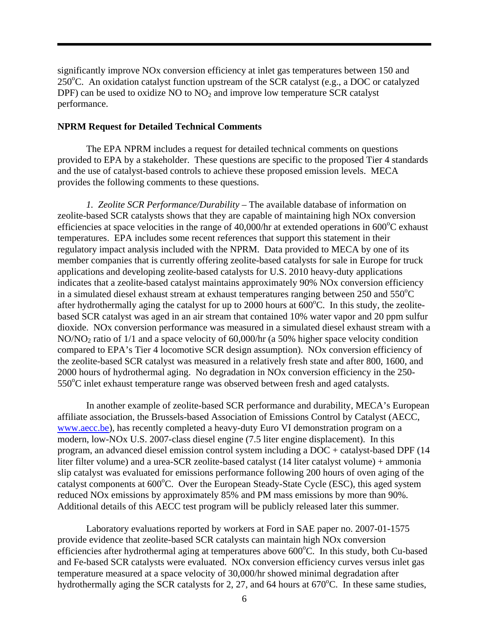significantly improve NOx conversion efficiency at inlet gas temperatures between 150 and 250°C. An oxidation catalyst function upstream of the SCR catalyst (e.g., a DOC or catalyzed DPF) can be used to oxidize NO to  $NO<sub>2</sub>$  and improve low temperature SCR catalyst performance.

#### **NPRM Request for Detailed Technical Comments**

The EPA NPRM includes a request for detailed technical comments on questions provided to EPA by a stakeholder. These questions are specific to the proposed Tier 4 standards and the use of catalyst-based controls to achieve these proposed emission levels. MECA provides the following comments to these questions.

*1. Zeolite SCR Performance/Durability* – The available database of information on zeolite-based SCR catalysts shows that they are capable of maintaining high NOx conversion efficiencies at space velocities in the range of 40,000/hr at extended operations in  $600^{\circ}$ C exhaust temperatures. EPA includes some recent references that support this statement in their regulatory impact analysis included with the NPRM. Data provided to MECA by one of its member companies that is currently offering zeolite-based catalysts for sale in Europe for truck applications and developing zeolite-based catalysts for U.S. 2010 heavy-duty applications indicates that a zeolite-based catalyst maintains approximately 90% NOx conversion efficiency in a simulated diesel exhaust stream at exhaust temperatures ranging between  $250$  and  $550^{\circ}$ C after hydrothermally aging the catalyst for up to 2000 hours at  $600^{\circ}$ C. In this study, the zeolitebased SCR catalyst was aged in an air stream that contained 10% water vapor and 20 ppm sulfur dioxide. NOx conversion performance was measured in a simulated diesel exhaust stream with a NO/NO<sub>2</sub> ratio of  $1/1$  and a space velocity of 60,000/hr (a 50% higher space velocity condition compared to EPA's Tier 4 locomotive SCR design assumption). NOx conversion efficiency of the zeolite-based SCR catalyst was measured in a relatively fresh state and after 800, 1600, and 2000 hours of hydrothermal aging. No degradation in NOx conversion efficiency in the 250- 550°C inlet exhaust temperature range was observed between fresh and aged catalysts.

 In another example of zeolite-based SCR performance and durability, MECA's European affiliate association, the Brussels-based Association of Emissions Control by Catalyst (AECC, [www.aecc.be\)](http://www.aecc.be/), has recently completed a heavy-duty Euro VI demonstration program on a modern, low-NOx U.S. 2007-class diesel engine (7.5 liter engine displacement). In this program, an advanced diesel emission control system including a DOC + catalyst-based DPF (14 liter filter volume) and a urea-SCR zeolite-based catalyst (14 liter catalyst volume) + ammonia slip catalyst was evaluated for emissions performance following 200 hours of oven aging of the catalyst components at 600°C. Over the European Steady-State Cycle (ESC), this aged system reduced NOx emissions by approximately 85% and PM mass emissions by more than 90%. Additional details of this AECC test program will be publicly released later this summer.

 Laboratory evaluations reported by workers at Ford in SAE paper no. 2007-01-1575 provide evidence that zeolite-based SCR catalysts can maintain high NOx conversion efficiencies after hydrothermal aging at temperatures above 600°C. In this study, both Cu-based and Fe-based SCR catalysts were evaluated. NOx conversion efficiency curves versus inlet gas temperature measured at a space velocity of 30,000/hr showed minimal degradation after hydrothermally aging the SCR catalysts for 2, 27, and 64 hours at  $670^{\circ}$ C. In these same studies,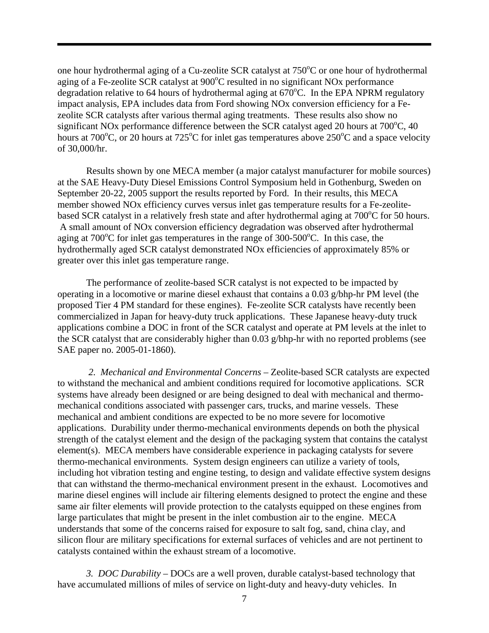one hour hydrothermal aging of a Cu-zeolite SCR catalyst at  $750^{\circ}$ C or one hour of hydrothermal aging of a Fe-zeolite SCR catalyst at 900°C resulted in no significant NOx performance degradation relative to 64 hours of hydrothermal aging at  $670^{\circ}$ C. In the EPA NPRM regulatory impact analysis, EPA includes data from Ford showing NOx conversion efficiency for a Fezeolite SCR catalysts after various thermal aging treatments. These results also show no significant NO<sub>x</sub> performance difference between the SCR catalyst aged 20 hours at  $700^{\circ}$ C, 40 hours at 700°C, or 20 hours at 725°C for inlet gas temperatures above 250°C and a space velocity of 30,000/hr.

 Results shown by one MECA member (a major catalyst manufacturer for mobile sources) at the SAE Heavy-Duty Diesel Emissions Control Symposium held in Gothenburg, Sweden on September 20-22, 2005 support the results reported by Ford. In their results, this MECA member showed NOx efficiency curves versus inlet gas temperature results for a Fe-zeolitebased SCR catalyst in a relatively fresh state and after hydrothermal aging at 700°C for 50 hours. A small amount of NOx conversion efficiency degradation was observed after hydrothermal aging at  $700^{\circ}$ C for inlet gas temperatures in the range of  $300$ - $500^{\circ}$ C. In this case, the hydrothermally aged SCR catalyst demonstrated NOx efficiencies of approximately 85% or greater over this inlet gas temperature range.

 The performance of zeolite-based SCR catalyst is not expected to be impacted by operating in a locomotive or marine diesel exhaust that contains a 0.03 g/bhp-hr PM level (the proposed Tier 4 PM standard for these engines). Fe-zeolite SCR catalysts have recently been commercialized in Japan for heavy-duty truck applications. These Japanese heavy-duty truck applications combine a DOC in front of the SCR catalyst and operate at PM levels at the inlet to the SCR catalyst that are considerably higher than 0.03 g/bhp-hr with no reported problems (see SAE paper no. 2005-01-1860).

*2. Mechanical and Environmental Concerns* – Zeolite-based SCR catalysts are expected to withstand the mechanical and ambient conditions required for locomotive applications. SCR systems have already been designed or are being designed to deal with mechanical and thermomechanical conditions associated with passenger cars, trucks, and marine vessels. These mechanical and ambient conditions are expected to be no more severe for locomotive applications. Durability under thermo-mechanical environments depends on both the physical strength of the catalyst element and the design of the packaging system that contains the catalyst element(s). MECA members have considerable experience in packaging catalysts for severe thermo-mechanical environments. System design engineers can utilize a variety of tools, including hot vibration testing and engine testing, to design and validate effective system designs that can withstand the thermo-mechanical environment present in the exhaust. Locomotives and marine diesel engines will include air filtering elements designed to protect the engine and these same air filter elements will provide protection to the catalysts equipped on these engines from large particulates that might be present in the inlet combustion air to the engine. MECA understands that some of the concerns raised for exposure to salt fog, sand, china clay, and silicon flour are military specifications for external surfaces of vehicles and are not pertinent to catalysts contained within the exhaust stream of a locomotive.

*3. DOC Durability* – DOCs are a well proven, durable catalyst-based technology that have accumulated millions of miles of service on light-duty and heavy-duty vehicles. In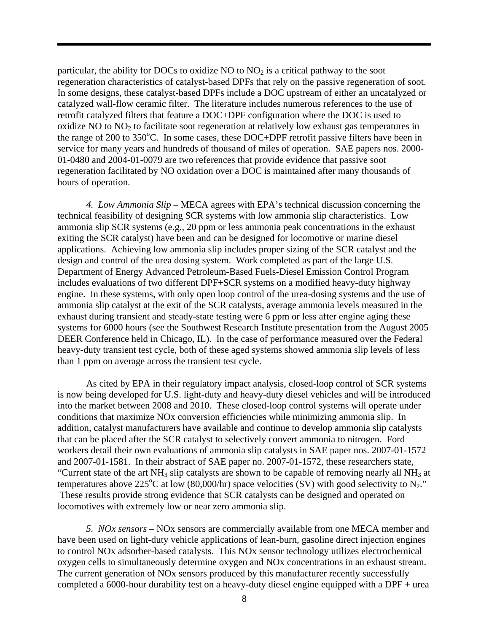particular, the ability for DOCs to oxidize  $NO$  to  $NO<sub>2</sub>$  is a critical pathway to the soot regeneration characteristics of catalyst-based DPFs that rely on the passive regeneration of soot. In some designs, these catalyst-based DPFs include a DOC upstream of either an uncatalyzed or catalyzed wall-flow ceramic filter. The literature includes numerous references to the use of retrofit catalyzed filters that feature a DOC+DPF configuration where the DOC is used to oxidize  $NO$  to  $NO<sub>2</sub>$  to facilitate soot regeneration at relatively low exhaust gas temperatures in the range of 200 to 350°C. In some cases, these DOC+DPF retrofit passive filters have been in service for many years and hundreds of thousand of miles of operation. SAE papers nos. 2000- 01-0480 and 2004-01-0079 are two references that provide evidence that passive soot regeneration facilitated by NO oxidation over a DOC is maintained after many thousands of hours of operation.

*4. Low Ammonia Slip* – MECA agrees with EPA's technical discussion concerning the technical feasibility of designing SCR systems with low ammonia slip characteristics. Low ammonia slip SCR systems (e.g., 20 ppm or less ammonia peak concentrations in the exhaust exiting the SCR catalyst) have been and can be designed for locomotive or marine diesel applications. Achieving low ammonia slip includes proper sizing of the SCR catalyst and the design and control of the urea dosing system. Work completed as part of the large U.S. Department of Energy Advanced Petroleum-Based Fuels-Diesel Emission Control Program includes evaluations of two different DPF+SCR systems on a modified heavy-duty highway engine. In these systems, with only open loop control of the urea-dosing systems and the use of ammonia slip catalyst at the exit of the SCR catalysts, average ammonia levels measured in the exhaust during transient and steady-state testing were 6 ppm or less after engine aging these systems for 6000 hours (see the Southwest Research Institute presentation from the August 2005 DEER Conference held in Chicago, IL). In the case of performance measured over the Federal heavy-duty transient test cycle, both of these aged systems showed ammonia slip levels of less than 1 ppm on average across the transient test cycle.

 As cited by EPA in their regulatory impact analysis, closed-loop control of SCR systems is now being developed for U.S. light-duty and heavy-duty diesel vehicles and will be introduced into the market between 2008 and 2010. These closed-loop control systems will operate under conditions that maximize NOx conversion efficiencies while minimizing ammonia slip. In addition, catalyst manufacturers have available and continue to develop ammonia slip catalysts that can be placed after the SCR catalyst to selectively convert ammonia to nitrogen. Ford workers detail their own evaluations of ammonia slip catalysts in SAE paper nos. 2007-01-1572 and 2007-01-1581. In their abstract of SAE paper no. 2007-01-1572, these researchers state, "Current state of the art  $NH_3$  slip catalysts are shown to be capable of removing nearly all  $NH_3$  at temperatures above 225<sup>o</sup>C at low (80,000/hr) space velocities (SV) with good selectivity to N<sub>2</sub>." These results provide strong evidence that SCR catalysts can be designed and operated on locomotives with extremely low or near zero ammonia slip.

*5. NOx sensors* – NOx sensors are commercially available from one MECA member and have been used on light-duty vehicle applications of lean-burn, gasoline direct injection engines to control NOx adsorber-based catalysts. This NOx sensor technology utilizes electrochemical oxygen cells to simultaneously determine oxygen and NOx concentrations in an exhaust stream. The current generation of NOx sensors produced by this manufacturer recently successfully completed a 6000-hour durability test on a heavy-duty diesel engine equipped with a DPF + urea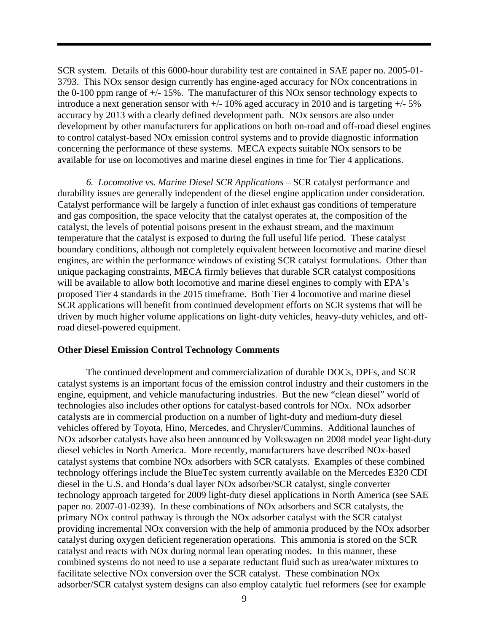SCR system. Details of this 6000-hour durability test are contained in SAE paper no. 2005-01- 3793. This NOx sensor design currently has engine-aged accuracy for NOx concentrations in the 0-100 ppm range of  $\pm$ /-15%. The manufacturer of this NOx sensor technology expects to introduce a next generation sensor with  $+/- 10\%$  aged accuracy in 2010 and is targeting  $+/- 5\%$ accuracy by 2013 with a clearly defined development path. NOx sensors are also under development by other manufacturers for applications on both on-road and off-road diesel engines to control catalyst-based NOx emission control systems and to provide diagnostic information concerning the performance of these systems. MECA expects suitable NOx sensors to be available for use on locomotives and marine diesel engines in time for Tier 4 applications.

*6. Locomotive vs. Marine Diesel SCR Applications* – SCR catalyst performance and durability issues are generally independent of the diesel engine application under consideration. Catalyst performance will be largely a function of inlet exhaust gas conditions of temperature and gas composition, the space velocity that the catalyst operates at, the composition of the catalyst, the levels of potential poisons present in the exhaust stream, and the maximum temperature that the catalyst is exposed to during the full useful life period. These catalyst boundary conditions, although not completely equivalent between locomotive and marine diesel engines, are within the performance windows of existing SCR catalyst formulations. Other than unique packaging constraints, MECA firmly believes that durable SCR catalyst compositions will be available to allow both locomotive and marine diesel engines to comply with EPA's proposed Tier 4 standards in the 2015 timeframe. Both Tier 4 locomotive and marine diesel SCR applications will benefit from continued development efforts on SCR systems that will be driven by much higher volume applications on light-duty vehicles, heavy-duty vehicles, and offroad diesel-powered equipment.

## **Other Diesel Emission Control Technology Comments**

The continued development and commercialization of durable DOCs, DPFs, and SCR catalyst systems is an important focus of the emission control industry and their customers in the engine, equipment, and vehicle manufacturing industries. But the new "clean diesel" world of technologies also includes other options for catalyst-based controls for NOx. NOx adsorber catalysts are in commercial production on a number of light-duty and medium-duty diesel vehicles offered by Toyota, Hino, Mercedes, and Chrysler/Cummins. Additional launches of NOx adsorber catalysts have also been announced by Volkswagen on 2008 model year light-duty diesel vehicles in North America. More recently, manufacturers have described NOx-based catalyst systems that combine NOx adsorbers with SCR catalysts. Examples of these combined technology offerings include the BlueTec system currently available on the Mercedes E320 CDI diesel in the U.S. and Honda's dual layer NOx adsorber/SCR catalyst, single converter technology approach targeted for 2009 light-duty diesel applications in North America (see SAE paper no. 2007-01-0239). In these combinations of NOx adsorbers and SCR catalysts, the primary NOx control pathway is through the NOx adsorber catalyst with the SCR catalyst providing incremental NOx conversion with the help of ammonia produced by the NOx adsorber catalyst during oxygen deficient regeneration operations. This ammonia is stored on the SCR catalyst and reacts with NOx during normal lean operating modes. In this manner, these combined systems do not need to use a separate reductant fluid such as urea/water mixtures to facilitate selective NOx conversion over the SCR catalyst. These combination NOx adsorber/SCR catalyst system designs can also employ catalytic fuel reformers (see for example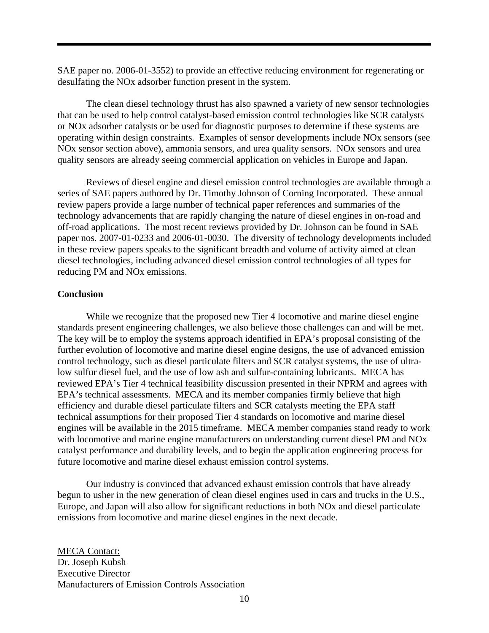SAE paper no. 2006-01-3552) to provide an effective reducing environment for regenerating or desulfating the NOx adsorber function present in the system.

 The clean diesel technology thrust has also spawned a variety of new sensor technologies that can be used to help control catalyst-based emission control technologies like SCR catalysts or NOx adsorber catalysts or be used for diagnostic purposes to determine if these systems are operating within design constraints. Examples of sensor developments include NOx sensors (see NOx sensor section above), ammonia sensors, and urea quality sensors. NOx sensors and urea quality sensors are already seeing commercial application on vehicles in Europe and Japan.

 Reviews of diesel engine and diesel emission control technologies are available through a series of SAE papers authored by Dr. Timothy Johnson of Corning Incorporated. These annual review papers provide a large number of technical paper references and summaries of the technology advancements that are rapidly changing the nature of diesel engines in on-road and off-road applications. The most recent reviews provided by Dr. Johnson can be found in SAE paper nos. 2007-01-0233 and 2006-01-0030. The diversity of technology developments included in these review papers speaks to the significant breadth and volume of activity aimed at clean diesel technologies, including advanced diesel emission control technologies of all types for reducing PM and NOx emissions.

# **Conclusion**

While we recognize that the proposed new Tier 4 locomotive and marine diesel engine standards present engineering challenges, we also believe those challenges can and will be met. The key will be to employ the systems approach identified in EPA's proposal consisting of the further evolution of locomotive and marine diesel engine designs, the use of advanced emission control technology, such as diesel particulate filters and SCR catalyst systems, the use of ultralow sulfur diesel fuel, and the use of low ash and sulfur-containing lubricants. MECA has reviewed EPA's Tier 4 technical feasibility discussion presented in their NPRM and agrees with EPA's technical assessments. MECA and its member companies firmly believe that high efficiency and durable diesel particulate filters and SCR catalysts meeting the EPA staff technical assumptions for their proposed Tier 4 standards on locomotive and marine diesel engines will be available in the 2015 timeframe. MECA member companies stand ready to work with locomotive and marine engine manufacturers on understanding current diesel PM and NOx catalyst performance and durability levels, and to begin the application engineering process for future locomotive and marine diesel exhaust emission control systems.

Our industry is convinced that advanced exhaust emission controls that have already begun to usher in the new generation of clean diesel engines used in cars and trucks in the U.S., Europe, and Japan will also allow for significant reductions in both NOx and diesel particulate emissions from locomotive and marine diesel engines in the next decade.

MECA Contact: Dr. Joseph Kubsh Executive Director Manufacturers of Emission Controls Association